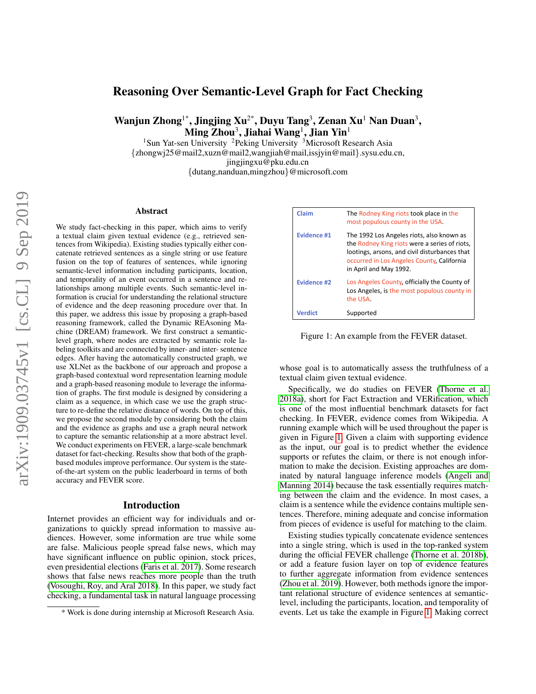# Reasoning Over Semantic-Level Graph for Fact Checking

Wanjun Zhong<sup>1\*</sup>, Jingjing Xu<sup>2\*</sup>, Duyu Tang<sup>3</sup>, Zenan Xu<sup>1</sup> Nan Duan<sup>3</sup>,  $\mathbf{Ming}\ \mathbf{Zhou}^{3}, \mathbf{Jiahai}\ \mathbf{Wang}^{1}, \mathbf{Jian}\ \mathbf{Yin}^{1}$ 

<sup>1</sup>Sun Yat-sen University <sup>2</sup>Peking University <sup>3</sup>Microsoft Research Asia {zhongwj25@mail2,xuzn@mail2,wangjiah@mail,issjyin@mail}.sysu.edu.cn, jingjingxu@pku.edu.cn {dutang,nanduan,mingzhou}@microsoft.com

#### Abstract

We study fact-checking in this paper, which aims to verify a textual claim given textual evidence (e.g., retrieved sentences from Wikipedia). Existing studies typically either concatenate retrieved sentences as a single string or use feature fusion on the top of features of sentences, while ignoring semantic-level information including participants, location, and temporality of an event occurred in a sentence and relationships among multiple events. Such semantic-level information is crucial for understanding the relational structure of evidence and the deep reasoning procedure over that. In this paper, we address this issue by proposing a graph-based reasoning framework, called the Dynamic REAsoning Machine (DREAM) framework. We first construct a semanticlevel graph, where nodes are extracted by semantic role labeling toolkits and are connected by inner- and inter- sentence edges. After having the automatically constructed graph, we use XLNet as the backbone of our approach and propose a graph-based contextual word representation learning module and a graph-based reasoning module to leverage the information of graphs. The first module is designed by considering a claim as a sequence, in which case we use the graph structure to re-define the relative distance of words. On top of this, we propose the second module by considering both the claim and the evidence as graphs and use a graph neural network to capture the semantic relationship at a more abstract level. We conduct experiments on FEVER, a large-scale benchmark dataset for fact-checking. Results show that both of the graphbased modules improve performance. Our system is the stateof-the-art system on the public leaderboard in terms of both accuracy and FEVER score.

### Introduction

Internet provides an efficient way for individuals and organizations to quickly spread information to massive audiences. However, some information are true while some are false. Malicious people spread false news, which may have significant influence on public opinion, stock prices, even presidential elections [\(Faris et al. 2017\)](#page-7-0). Some research shows that false news reaches more people than the truth [\(Vosoughi, Roy, and Aral 2018\)](#page-7-1). In this paper, we study fact checking, a fundamental task in natural language processing

| Claim              | The Rodney King riots took place in the<br>most populous county in the USA.                                                                                                                                         |
|--------------------|---------------------------------------------------------------------------------------------------------------------------------------------------------------------------------------------------------------------|
| <b>Evidence #1</b> | The 1992 Los Angeles riots, also known as<br>the Rodney King riots were a series of riots,<br>lootings, arsons, and civil disturbances that<br>occurred in Los Angeles County, California<br>in April and May 1992. |
| <b>Fvidence #2</b> | Los Angeles County, officially the County of<br>Los Angeles, is the most populous county in<br>the USA.                                                                                                             |
| <b>Verdict</b>     | Supported                                                                                                                                                                                                           |

<span id="page-0-0"></span>Figure 1: An example from the FEVER dataset.

whose goal is to automatically assess the truthfulness of a textual claim given textual evidence.

Specifically, we do studies on FEVER [\(Thorne et al.](#page-7-2) [2018a\)](#page-7-2), short for Fact Extraction and VERification, which is one of the most influential benchmark datasets for fact checking. In FEVER, evidence comes from Wikipedia. A running example which will be used throughout the paper is given in Figure [1.](#page-0-0) Given a claim with supporting evidence as the input, our goal is to predict whether the evidence supports or refutes the claim, or there is not enough information to make the decision. Existing approaches are dominated by natural language inference models [\(Angeli and](#page-7-3) [Manning 2014\)](#page-7-3) because the task essentially requires matching between the claim and the evidence. In most cases, a claim is a sentence while the evidence contains multiple sentences. Therefore, mining adequate and concise information from pieces of evidence is useful for matching to the claim.

Existing studies typically concatenate evidence sentences into a single string, which is used in the top-ranked system during the official FEVER challenge [\(Thorne et al. 2018b\)](#page-7-4), or add a feature fusion layer on top of evidence features to further aggregate information from evidence sentences [\(Zhou et al. 2019\)](#page-7-5). However, both methods ignore the important relational structure of evidence sentences at semanticlevel, including the participants, location, and temporality of events. Let us take the example in Figure [1.](#page-0-0) Making correct

<sup>\*</sup> Work is done during internship at Microsoft Research Asia.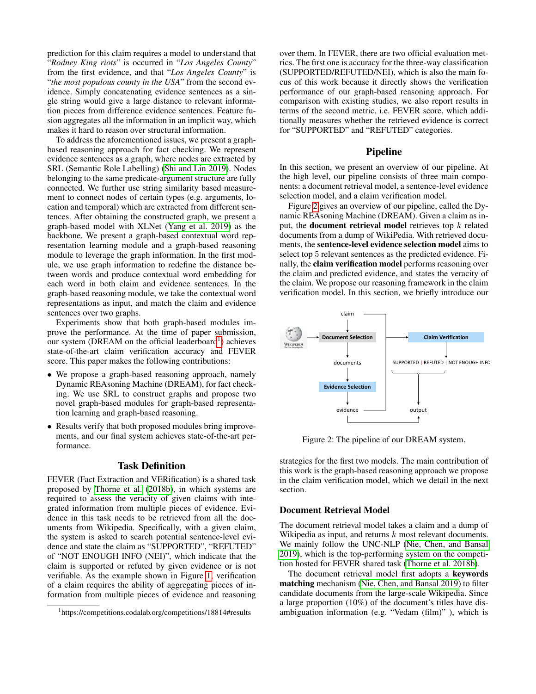prediction for this claim requires a model to understand that "*Rodney King riots*" is occurred in "*Los Angeles County*" from the first evidence, and that "*Los Angeles County*" is "*the most populous county in the USA*" from the second evidence. Simply concatenating evidence sentences as a single string would give a large distance to relevant information pieces from difference evidence sentences. Feature fusion aggregates all the information in an implicit way, which makes it hard to reason over structural information.

To address the aforementioned issues, we present a graphbased reasoning approach for fact checking. We represent evidence sentences as a graph, where nodes are extracted by SRL (Semantic Role Labelling) [\(Shi and Lin 2019\)](#page-7-6). Nodes belonging to the same predicate-argument structure are fully connected. We further use string similarity based measurement to connect nodes of certain types (e.g. arguments, location and temporal) which are extracted from different sentences. After obtaining the constructed graph, we present a graph-based model with XLNet [\(Yang et al. 2019\)](#page-7-7) as the backbone. We present a graph-based contextual word representation learning module and a graph-based reasoning module to leverage the graph information. In the first module, we use graph information to redefine the distance between words and produce contextual word embedding for each word in both claim and evidence sentences. In the graph-based reasoning module, we take the contextual word representations as input, and match the claim and evidence sentences over two graphs.

Experiments show that both graph-based modules improve the performance. At the time of paper submission, our system (DREAM on the official leaderboard<sup>[1](#page-1-0)</sup>) achieves state-of-the-art claim verification accuracy and FEVER score. This paper makes the following contributions:

- We propose a graph-based reasoning approach, namely Dynamic REAsoning Machine (DREAM), for fact checking. We use SRL to construct graphs and propose two novel graph-based modules for graph-based representation learning and graph-based reasoning.
- Results verify that both proposed modules bring improvements, and our final system achieves state-of-the-art performance.

# Task Definition

FEVER (Fact Extraction and VERification) is a shared task proposed by [Thorne et al.](#page-7-4) [\(2018b\)](#page-7-4), in which systems are required to assess the veracity of given claims with integrated information from multiple pieces of evidence. Evidence in this task needs to be retrieved from all the documents from Wikipedia. Specifically, with a given claim, the system is asked to search potential sentence-level evidence and state the claim as "SUPPORTED", "REFUTED" of "NOT ENOUGH INFO (NEI)", which indicate that the claim is supported or refuted by given evidence or is not verifiable. As the example shown in Figure [1,](#page-0-0) verification of a claim requires the ability of aggregating pieces of information from multiple pieces of evidence and reasoning over them. In FEVER, there are two official evaluation metrics. The first one is accuracy for the three-way classification (SUPPORTED/REFUTED/NEI), which is also the main focus of this work because it directly shows the verification performance of our graph-based reasoning approach. For comparison with existing studies, we also report results in terms of the second metric, i.e. FEVER score, which additionally measures whether the retrieved evidence is correct for "SUPPORTED" and "REFUTED" categories.

#### Pipeline

In this section, we present an overview of our pipeline. At the high level, our pipeline consists of three main components: a document retrieval model, a sentence-level evidence selection model, and a claim verification model.

Figure [2](#page-1-1) gives an overview of our pipeline, called the Dynamic REAsoning Machine (DREAM). Given a claim as input, the **document retrieval model** retrieves top  $k$  related documents from a dump of WikiPedia. With retrieved documents, the sentence-level evidence selection model aims to select top 5 relevant sentences as the predicted evidence. Fie-<br>
nally, the **claim verification model** performs reasoning over<br>
the claim and predicted evidence and states the veracity of the claim and predicted evidence, and states the veracity of the claim. We propose our reasoning framework in the claim verification model. In this section, we briefly introduce our



<span id="page-1-1"></span>Figure 2: The pipeline of our DREAM system.

strategies for the first two models. The main contribution of this work is the graph-based reasoning approach we propose in the claim verification model, which we detail in the next section.

### Document Retrieval Model

The document retrieval model takes a claim and a dump of Wikipedia as input, and returns  $k$  most relevant documents. We mainly follow the UNC-NLP [\(Nie, Chen, and Bansal](#page-7-8) [2019\)](#page-7-8), which is the top-performing system on the competition hosted for FEVER shared task [\(Thorne et al. 2018b\)](#page-7-4).

The document retrieval model first adopts a keywords matching mechanism [\(Nie, Chen, and Bansal 2019\)](#page-7-8) to filter candidate documents from the large-scale Wikipedia. Since a large proportion (10%) of the document's titles have disambiguation information (e.g. "Vedam (film)" ), which is

<span id="page-1-0"></span><sup>1</sup> https://competitions.codalab.org/competitions/18814#results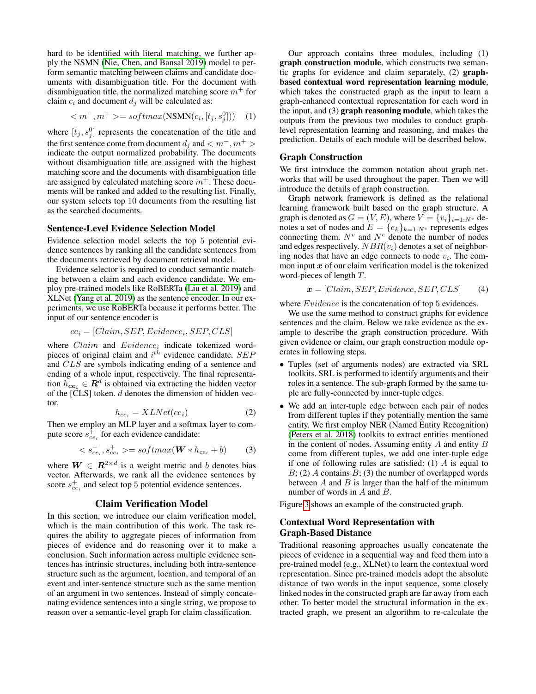hard to be identified with literal matching, we further apply the NSMN [\(Nie, Chen, and Bansal 2019\)](#page-7-8) model to perform semantic matching between claims and candidate documents with disambiguation title. For the document with disambiguation title, the normalized matching score  $m<sup>+</sup>$  for claim  $c_i$  and document  $d_i$  will be calculated as:

$$
\langle m^-, m^+ \rangle = softmax(\text{NSMN}(c_i, [t_j, s_j^0])) \quad (1)
$$

where  $[t_j, s_j^0]$  represents the concatenation of the title and the first sentence come from document  $d_j$  and  $\lt m^-, m^+ >$ indicate the output normalized probability. The documents without disambiguation title are assigned with the highest matching score and the documents with disambiguation title are assigned by calculated matching score  $m<sup>+</sup>$ . These documents will be ranked and added to the resulting list. Finally, our system selects top 10 documents from the resulting list as the searched documents.

### Sentence-Level Evidence Selection Model

Evidence selection model selects the top 5 potential evidence sentences by ranking all the candidate sentences from the documents retrieved by document retrieval model.

Evidence selector is required to conduct semantic matching between a claim and each evidence candidate. We employ pre-trained models like RoBERTa [\(Liu et al. 2019\)](#page-7-9) and XLNet [\(Yang et al. 2019\)](#page-7-7) as the sentence encoder. In our experiments, we use RoBERTa because it performs better. The input of our sentence encoder is

$$
ce_i = [Claim, SEP, Evidence_i, SEP, CLS]
$$

where  $Claim$  and  $Evidence_i$  indicate tokenized wordpieces of original claim and  $i^{th}$  evidence candidate. SEP and CLS are symbols indicating ending of a sentence and ending of a whole input, respectively. The final representation  $h_{ce_i} \in \mathbb{R}^d$  is obtained via extracting the hidden vector of the  $[CLS]$  token.  $d$  denotes the dimension of hidden vector.

$$
h_{ce_i} = XLNet(ce_i)
$$
 (2)

Then we employ an MLP layer and a softmax layer to compute score  $s_{ce_i}^{\dagger}$  for each evidence candidate:

$$
\langle s_{ce_i}^-, s_{ce_i}^+ \rangle = softmax(\boldsymbol{W} * h_{ce_i} + b) \tag{3}
$$

where  $W \in \mathbb{R}^{2 \times d}$  is a weight metric and b denotes bias vector. Afterwards, we rank all the evidence sentences by score  $s_{ce_i}^+$  and select top 5 potential evidence sentences.

### Claim Verification Model

In this section, we introduce our claim verification model, which is the main contribution of this work. The task requires the ability to aggregate pieces of information from pieces of evidence and do reasoning over it to make a conclusion. Such information across multiple evidence sentences has intrinsic structures, including both intra-sentence structure such as the argument, location, and temporal of an event and inter-sentence structure such as the same mention of an argument in two sentences. Instead of simply concatenating evidence sentences into a single string, we propose to reason over a semantic-level graph for claim classification.

Our approach contains three modules, including (1) graph construction module, which constructs two semantic graphs for evidence and claim separately, (2) graphbased contextual word representation learning module, which takes the constructed graph as the input to learn a graph-enhanced contextual representation for each word in the input, and (3) graph reasoning module, which takes the outputs from the previous two modules to conduct graphlevel representation learning and reasoning, and makes the prediction. Details of each module will be described below.

### Graph Construction

We first introduce the common notation about graph networks that will be used throughout the paper. Then we will introduce the details of graph construction.

Graph network framework is defined as the relational learning framework built based on the graph structure. A graph is denoted as  $G = (V, E)$ , where  $V = \{v_i\}_{i=1:N^v}$  denotes a set of nodes and  $E = \{e_k\}_{k=1:N^e}$  represents edges connecting them.  $N^v$  and  $N^e$  denote the number of nodes and edges respectively.  $NBR(v_i)$  denotes a set of neighboring nodes that have an edge connects to node  $v_i$ . The common input  $x$  of our claim verification model is the tokenized word-pieces of length T.

$$
x = [Claim, SEP, Evidence, SEP, CLS]
$$
 (4)

where  $Evidence$  is the concatenation of top 5 evidences.

We use the same method to construct graphs for evidence sentences and the claim. Below we take evidence as the example to describe the graph construction procedure. With given evidence or claim, our graph construction module operates in following steps.

- Tuples (set of arguments nodes) are extracted via SRL toolkits. SRL is performed to identify arguments and their roles in a sentence. The sub-graph formed by the same tuple are fully-connected by inner-tuple edges.
- We add an inter-tuple edge between each pair of nodes from different tuples if they potentially mention the same entity. We first employ NER (Named Entity Recognition) [\(Peters et al. 2018\)](#page-7-10) toolkits to extract entities mentioned in the content of nodes. Assuming entity  $A$  and entity  $B$ come from different tuples, we add one inter-tuple edge if one of following rules are satisfied: (1)  $\hat{A}$  is equal to  $B$ ; (2) A contains  $B$ ; (3) the number of overlapped words between  $A$  and  $B$  is larger than the half of the minimum number of words in A and B.

Figure [3](#page-3-0) shows an example of the constructed graph.

# Contextual Word Representation with Graph-Based Distance

Traditional reasoning approaches usually concatenate the pieces of evidence in a sequential way and feed them into a pre-trained model (e.g., XLNet) to learn the contextual word representation. Since pre-trained models adopt the absolute distance of two words in the input sequence, some closely linked nodes in the constructed graph are far away from each other. To better model the structural information in the extracted graph, we present an algorithm to re-calculate the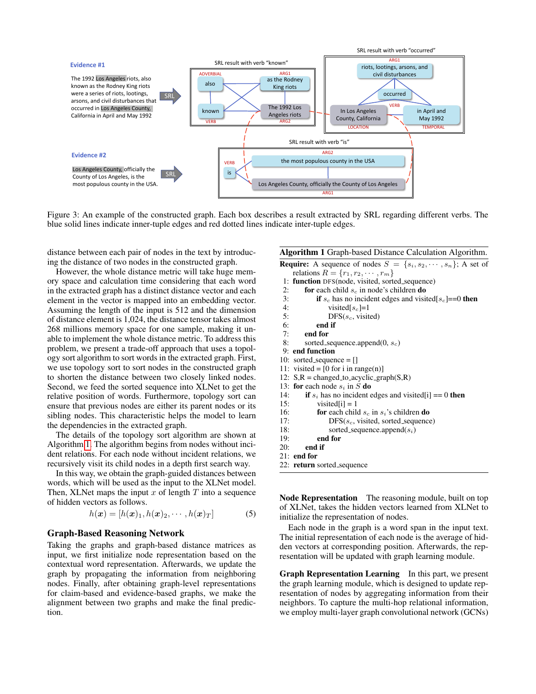

<span id="page-3-0"></span>Figure 3: An example of the constructed graph. Each box describes a result extracted by SRL regarding different verbs. The blue solid lines indicate inner-tuple edges and red dotted lines indicate inter-tuple edges.

distance between each pair of nodes in the text by introducing the distance of two nodes in the constructed graph.

However, the whole distance metric will take huge memory space and calculation time considering that each word in the extracted graph has a distinct distance vector and each element in the vector is mapped into an embedding vector. Assuming the length of the input is 512 and the dimension of distance element is 1,024, the distance tensor takes almost 268 millions memory space for one sample, making it unable to implement the whole distance metric. To address this problem, we present a trade-off approach that uses a topology sort algorithm to sort words in the extracted graph. First, we use topology sort to sort nodes in the constructed graph to shorten the distance between two closely linked nodes. Second, we feed the sorted sequence into XLNet to get the relative position of words. Furthermore, topology sort can ensure that previous nodes are either its parent nodes or its sibling nodes. This characteristic helps the model to learn the dependencies in the extracted graph.

The details of the topology sort algorithm are shown at Algorithm [1.](#page-3-1) The algorithm begins from nodes without incident relations. For each node without incident relations, we recursively visit its child nodes in a depth first search way.

In this way, we obtain the graph-guided distances between words, which will be used as the input to the XLNet model. Then, XLNet maps the input  $x$  of length  $T$  into a sequence of hidden vectors as follows.

$$
h(\boldsymbol{x}) = [h(\boldsymbol{x})_1, h(\boldsymbol{x})_2, \cdots, h(\boldsymbol{x})_T] \tag{5}
$$

### Graph-Based Reasoning Network

Taking the graphs and graph-based distance matrices as input, we first initialize node representation based on the contextual word representation. Afterwards, we update the graph by propagating the information from neighboring nodes. Finally, after obtaining graph-level representations for claim-based and evidence-based graphs, we make the alignment between two graphs and make the final prediction.

# <span id="page-3-1"></span>Algorithm 1 Graph-based Distance Calculation Algorithm.

| <i>Angol Rinn 1</i> Oraph <i>based Distance</i> Calculation <i>Angol</i> Rinni. |
|---------------------------------------------------------------------------------|
| <b>Require:</b> A sequence of nodes $S = \{s_i, s_2, \dots, s_n\}$ ; A set of   |
| relations $R = \{r_1, r_2, \cdots, r_m\}$                                       |
| 1: <b>function</b> DFS(node, visited, sorted_sequence)                          |
| <b>for</b> each child $s_c$ in node's children <b>do</b><br>2:                  |
| 3:<br>if $s_c$ has no incident edges and visited[ $s_c$ ]==0 then               |
| 4:<br>visited[ $s_c$ ]=1                                                        |
| 5:<br>$DFS(s_c, visited)$                                                       |
| 6:<br>end if                                                                    |
| 7:<br>end for                                                                   |
| 8:<br>sorted_sequence.append $(0, s_c)$                                         |
| 9: end function                                                                 |
| 10: sorted_sequence = $\lceil \cdot \rceil$                                     |
| 11: visited = $[0 \text{ for } i \text{ in } range(n)]$                         |
| 12: $S,R = changed_to_a cyclic_graph(S,R)$                                      |
| 13: for each node $s_i$ in S do                                                 |
| 14:<br>if $s_i$ has no incident edges and visited[i] = 0 then                   |
| 15:<br>visited[i] = 1                                                           |
| 16:<br><b>for</b> each child $s_c$ in $s_i$ 's children <b>do</b>               |
| 17:<br>$DFS(s_c, visited, sorted\_sequence)$                                    |
| 18:<br>sorted_sequence.append $(s_i)$                                           |
| end for<br>19:                                                                  |
| end if<br><b>20:</b>                                                            |
| $21:$ end for                                                                   |
| 22: <b>return</b> sorted_sequence                                               |
|                                                                                 |

Node Representation The reasoning module, built on top of XLNet, takes the hidden vectors learned from XLNet to initialize the representation of nodes.

Each node in the graph is a word span in the input text. The initial representation of each node is the average of hidden vectors at corresponding position. Afterwards, the representation will be updated with graph learning module.

Graph Representation Learning In this part, we present the graph learning module, which is designed to update representation of nodes by aggregating information from their neighbors. To capture the multi-hop relational information, we employ multi-layer graph convolutional network (GCNs)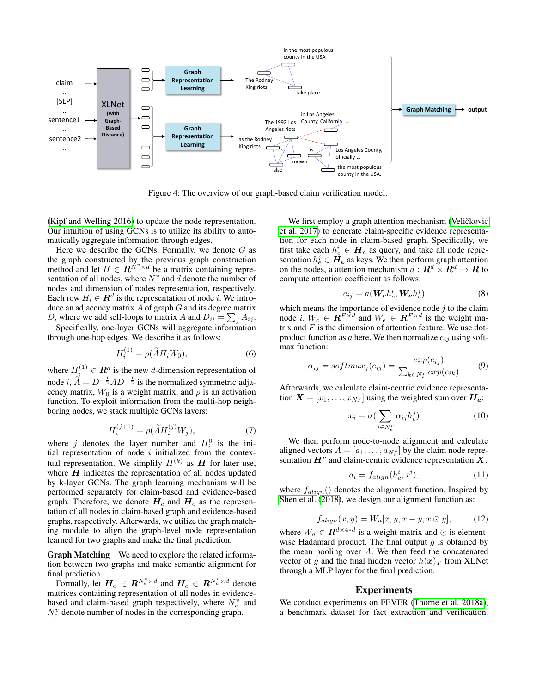

Figure 4: The overview of our graph-based claim verification model.

[\(Kipf and Welling 2016\)](#page-7-11) to update the node representation. Our intuition of using GCNs is to utilize its ability to automatically aggregate information through edges.

Here we describe the GCNs. Formally, we denote  $G$  as the graph constructed by the previous graph construction method and let  $H \in \mathbb{R}^{N^v \times d}$  be a matrix containing representation of all nodes, where  $N^v$  and d denote the number of nodes and dimension of nodes representation, respectively. Each row  $H_i \in \mathbb{R}^d$  is the representation of node i. We introduce an adjacency matrix  $A$  of graph  $G$  and its degree matrix D, where we add self-loops to matrix A and  $D_{ii} = \sum_j A_{ij}$ .

Specifically, one-layer GCNs will aggregate information through one-hop edges. We describe it as follows:

$$
H_i^{(1)} = \rho(\widetilde{A}H_iW_0),\tag{6}
$$

where  $H_i^{(1)} \in \mathbb{R}^d$  is the new d-dimension representation of node i,  $\widetilde{A} = D^{-\frac{1}{2}}AD^{-\frac{1}{2}}$  is the normalized symmetric adja-<br>corresponding  $W$  is a multiple notice and since a stimular cency matrix,  $W_0$  is a weight matrix, and  $\rho$  is an activation function. To exploit information from the multi-hop neighboring nodes, we stack multiple GCNs layers:

$$
H_i^{(j+1)} = \rho(\widetilde{A}H_i^{(j)}W_j),\tag{7}
$$

where j denotes the layer number and  $H_i^0$  is the initial representation of node  $i$  initialized from the contextual representation. We simplify  $H^{(k)}$  as  $H$  for later use, where  $H$  indicates the representation of all nodes updated by k-layer GCNs. The graph learning mechanism will be performed separately for claim-based and evidence-based graph. Therefore, we denote  $H_c$  and  $H_e$  as the representation of all nodes in claim-based graph and evidence-based graphs, respectively. Afterwards, we utilize the graph matching module to align the graph-level node representation learned for two graphs and make the final prediction.

Graph Matching We need to explore the related information between two graphs and make semantic alignment for final prediction.

Formally, let  $H_e \in R^{N_e^v \times d}$  and  $H_c \in R^{N_c^v \times d}$  denote matrices containing representation of all nodes in evidencebased and claim-based graph respectively, where  $N_e^v$  and  $N_c^v$  denote number of nodes in the corresponding graph.

We first employ a graph attention mechanism (Veličković [et al. 2017\)](#page-7-12) to generate claim-specific evidence representation for each node in claim-based graph. Specifically, we first take each  $h_c^i \in H_c$  as query, and take all node representation  $h_e^j \in \tilde{\bm{H_e}}$  as keys. We then perform graph attention on the nodes, a attention mechanism  $a: \mathbb{R}^d \times \mathbb{R}^d \to \mathbb{R}$  to compute attention coefficient as follows:

$$
e_{ij} = a(\boldsymbol{W_c}h_c^i, \boldsymbol{W_e}h_e^j)
$$
 (8)

which means the importance of evidence node  $j$  to the claim node *i*.  $W_c \in \mathbb{R}^{F \times d}$  and  $W_e \in \mathbb{R}^{F \times d}$  is the weight matrix and  $F$  is the dimension of attention feature. We use dotproduct function as a here. We then normalize  $e_{ij}$  using softmax function:

$$
\alpha_{ij} = softmax_j(e_{ij}) = \frac{exp(e_{ij})}{\sum_{k \in N_e^v} exp(e_{ik})}
$$
(9)

Afterwards, we calculate claim-centric evidence representation  $\boldsymbol{X}=[x_1,\ldots,x_{N_c^v}]$  using the weighted sum over  $\boldsymbol{H_e}$ :

$$
x_i = \sigma\left(\sum_{j \in N_e^v} \alpha_{ij} h_e^j\right) \tag{10}
$$

We then perform node-to-node alignment and calculate aligned vectors  $A = [a_1, \dots, a_{N_c^v}]$  by the claim node representation  $H^c$  and claim-centric evidence representation  $X$ .

$$
a_i = f_{align}(h_c^i, x^i), \tag{11}
$$

where  $f_{align}()$  denotes the alignment function. Inspired by [Shen et al.](#page-7-13) [\(2018\)](#page-7-13), we design our alignment function as:

$$
f_{align}(x,y) = W_a[x,y,x-y,x\odot y],\tag{12}
$$

where  $W_a \in \mathbb{R}^{d \times 4*d}$  is a weight matrix and  $\odot$  is elementwise Hadamard product. The final output  $g$  is obtained by the mean pooling over  $A$ . We then feed the concatenated vector of g and the final hidden vector  $h(x)$  from XLNet through a MLP layer for the final prediction.

#### Experiments

We conduct experiments on FEVER [\(Thorne et al. 2018a\)](#page-7-2), a benchmark dataset for fact extraction and verification.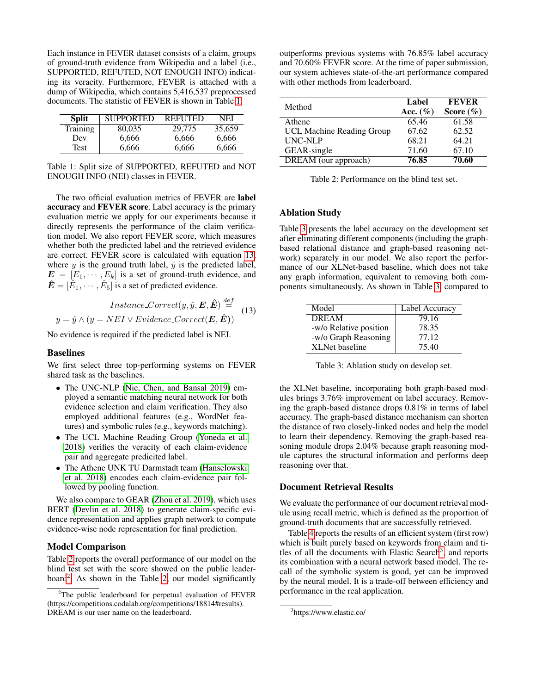Each instance in FEVER dataset consists of a claim, groups of ground-truth evidence from Wikipedia and a label (i.e., SUPPORTED, REFUTED, NOT ENOUGH INFO) indicating its veracity. Furthermore, FEVER is attached with a dump of Wikipedia, which contains 5,416,537 preprocessed documents. The statistic of FEVER is shown in Table [1.](#page-5-0)

| <b>Split</b>    | <b>SUPPORTED</b> | <b>REFUTED</b> | <b>NEI</b> |  |
|-----------------|------------------|----------------|------------|--|
| <b>Training</b> | 80,035           | 29,775         | 35,659     |  |
| Dev             | 6.666            | 6.666          | 6.666      |  |
| Test            | 6.666            | 6,666          | 6,666      |  |

<span id="page-5-0"></span>Table 1: Split size of SUPPORTED, REFUTED and NOT ENOUGH INFO (NEI) classes in FEVER.

The two official evaluation metrics of FEVER are label accuracy and FEVER score. Label accuracy is the primary evaluation metric we apply for our experiments because it directly represents the performance of the claim verification model. We also report FEVER score, which measures whether both the predicted label and the retrieved evidence are correct. FEVER score is calculated with equation [13,](#page-5-1) where  $y$  is the ground truth label,  $\hat{y}$  is the predicted label,  $\mathbf{E} = [E_1, \dots, E_k]$  is a set of ground-truth evidence, and  $\hat{\mathbf{E}} = [\hat{E}_1, \cdots, \hat{E}_5]$  is a set of predicted evidence.

<span id="page-5-1"></span>
$$
Instance-Correct(y, \hat{y}, \mathbf{E}, \hat{\mathbf{E}}) \stackrel{def}{=} (13)
$$

$$
y = \hat{y} \land (y = NEI \lor Evidence-Correct(\mathbf{E}, \hat{\mathbf{E}}))
$$

No evidence is required if the predicted label is NEI.

### Baselines

We first select three top-performing systems on FEVER shared task as the baselines.

- The UNC-NLP [\(Nie, Chen, and Bansal 2019\)](#page-7-8) employed a semantic matching neural network for both evidence selection and claim verification. They also employed additional features (e.g., WordNet features) and symbolic rules (e.g., keywords matching).
- The UCL Machine Reading Group [\(Yoneda et al.](#page-7-14) [2018\)](#page-7-14) verifies the veracity of each claim-evidence pair and aggregate predicited label.
- The Athene UNK TU Darmstadt team [\(Hanselowski](#page-7-15) [et al. 2018\)](#page-7-15) encodes each claim-evidence pair followed by pooling function.

We also compare to GEAR [\(Zhou et al. 2019\)](#page-7-5), which uses BERT [\(Devlin et al. 2018\)](#page-7-16) to generate claim-specific evidence representation and applies graph network to compute evidence-wise node representation for final prediction.

### Model Comparison

Table [2](#page-5-2) reports the overall performance of our model on the blind test set with the score showed on the public leader-board<sup>[2](#page-5-3)</sup>. As shown in the Table [2,](#page-5-2) our model significantly

outperforms previous systems with 76.85% label accuracy and 70.60% FEVER score. At the time of paper submission, our system achieves state-of-the-art performance compared with other methods from leaderboard.

| Method                           | Label<br>Acc. $(\%)$ | <b>FEVER</b><br>Score $(\% )$ |
|----------------------------------|----------------------|-------------------------------|
| Athene                           | 65.46                | 61.58                         |
| <b>UCL Machine Reading Group</b> | 67.62                | 62.52                         |
| <b>UNC-NLP</b>                   | 68.21                | 64.21                         |
| GEAR-single                      | 71.60                | 67.10                         |
| <b>DREAM</b> (our approach)      | 76.85                | 70.60                         |

<span id="page-5-2"></span>Table 2: Performance on the blind test set.

# Ablation Study

Table [3](#page-5-4) presents the label accuracy on the development set after eliminating different components (including the graphbased relational distance and graph-based reasoning network) separately in our model. We also report the performance of our XLNet-based baseline, which does not take any graph information, equivalent to removing both components simultaneously. As shown in Table [3,](#page-5-4) compared to

| Model                  | Label Accuracy |  |
|------------------------|----------------|--|
| <b>DREAM</b>           | 79.16          |  |
| -w/o Relative position | 78.35          |  |
| -w/o Graph Reasoning   | 77.12          |  |
| XLNet baseline         | 75.40          |  |

<span id="page-5-4"></span>Table 3: Ablation study on develop set.

the XLNet baseline, incorporating both graph-based modules brings 3.76% improvement on label accuracy. Removing the graph-based distance drops 0.81% in terms of label accuracy. The graph-based distance mechanism can shorten the distance of two closely-linked nodes and help the model to learn their dependency. Removing the graph-based reasoning module drops 2.04% because graph reasoning module captures the structural information and performs deep reasoning over that.

# Document Retrieval Results

We evaluate the performance of our document retrieval module using recall metric, which is defined as the proportion of ground-truth documents that are successfully retrieved.

Table [4](#page-6-0) reports the results of an efficient system (first row) which is built purely based on keywords from claim and ti-tles of all the documents with Elastic Search<sup>[3](#page-5-5)</sup>, and reports its combination with a neural network based model. The recall of the symbolic system is good, yet can be improved by the neural model. It is a trade-off between efficiency and performance in the real application.

<span id="page-5-3"></span> $2$ The public leaderboard for perpetual evaluation of FEVER (https://competitions.codalab.org/competitions/18814#results). DREAM is our user name on the leaderboard.

<span id="page-5-5"></span><sup>3</sup> https://www.elastic.co/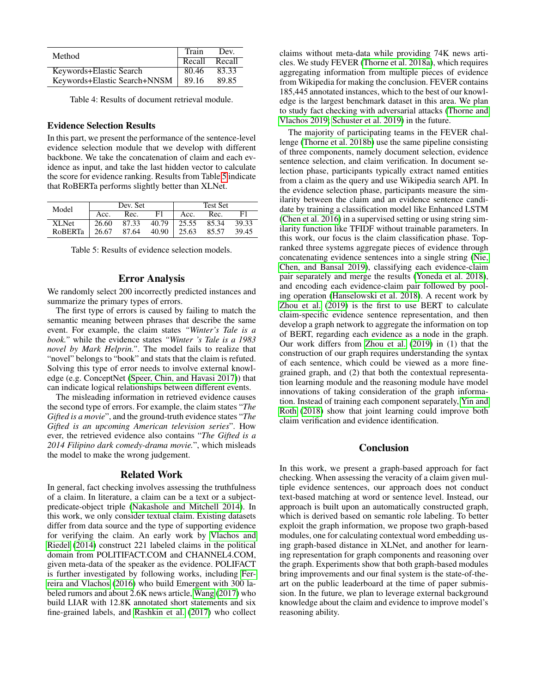| Method                       | Train         | Dev.  |
|------------------------------|---------------|-------|
|                              | Recall Recall |       |
| Keywords+Elastic Search      | 80.46         | 83.33 |
| Keywords+Elastic Search+NNSM | 89.16         | 89.85 |

<span id="page-6-0"></span>Table 4: Results of document retrieval module.

# Evidence Selection Results

In this part, we present the performance of the sentence-level evidence selection module that we develop with different backbone. We take the concatenation of claim and each evidence as input, and take the last hidden vector to calculate the score for evidence ranking. Results from Table [5](#page-6-1) indicate that RoBERTa performs slightly better than XLNet.

| Model          | Dev. Set |       |       | <b>Test Set</b> |       |       |
|----------------|----------|-------|-------|-----------------|-------|-------|
|                | Acc.     | Rec.  | F1    | Acc.            | Rec.  |       |
| <b>XLNet</b>   | 26.60    | 87.33 | 40.79 | 25.55           | 85.34 | 39.33 |
| <b>ROBERTa</b> | 26.67    | 87.64 | 40.90 | 25.63           | 85.57 | 39.45 |

<span id="page-6-1"></span>Table 5: Results of evidence selection models.

### Error Analysis

We randomly select 200 incorrectly predicted instances and summarize the primary types of errors.

The first type of errors is caused by failing to match the semantic meaning between phrases that describe the same event. For example, the claim states *"Winter's Tale is a book."* while the evidence states *"Winter 's Tale is a 1983 novel by Mark Helprin."*. The model fails to realize that "novel" belongs to "book" and stats that the claim is refuted. Solving this type of error needs to involve external knowledge (e.g. ConceptNet [\(Speer, Chin, and Havasi 2017\)](#page-7-17)) that can indicate logical relationships between different events.

The misleading information in retrieved evidence causes the second type of errors. For example, the claim states "*The Gifted is a movie*", and the ground-truth evidence states "*The Gifted is an upcoming American television series*". How ever, the retrieved evidence also contains "*The Gifted is a 2014 Filipino dark comedy-drama movie.*", which misleads the model to make the wrong judgement.

### Related Work

In general, fact checking involves assessing the truthfulness of a claim. In literature, a claim can be a text or a subjectpredicate-object triple [\(Nakashole and Mitchell 2014\)](#page-7-18). In this work, we only consider textual claim. Existing datasets differ from data source and the type of supporting evidence for verifying the claim. An early work by [Vlachos and](#page-7-19) [Riedel](#page-7-19) [\(2014\)](#page-7-19) construct 221 labeled claims in the political domain from POLITIFACT.COM and CHANNEL4.COM, given meta-data of the speaker as the evidence. POLIFACT is further investigated by following works, including [Fer](#page-7-20)[reira and Vlachos](#page-7-20) [\(2016\)](#page-7-20) who build Emergent with 300 labeled rumors and about 2.6K news article, [Wang](#page-7-21) [\(2017\)](#page-7-21) who build LIAR with 12.8K annotated short statements and six fine-grained labels, and [Rashkin et al.](#page-7-22) [\(2017\)](#page-7-22) who collect claims without meta-data while providing 74K news articles. We study FEVER [\(Thorne et al. 2018a\)](#page-7-2), which requires aggregating information from multiple pieces of evidence from Wikipedia for making the conclusion. FEVER contains 185,445 annotated instances, which to the best of our knowledge is the largest benchmark dataset in this area. We plan to study fact checking with adversarial attacks [\(Thorne and](#page-7-23) [Vlachos 2019;](#page-7-23) [Schuster et al. 2019\)](#page-7-24) in the future.

The majority of participating teams in the FEVER challenge [\(Thorne et al. 2018b\)](#page-7-4) use the same pipeline consisting of three components, namely document selection, evidence sentence selection, and claim verification. In document selection phase, participants typically extract named entities from a claim as the query and use Wikipedia search API. In the evidence selection phase, participants measure the similarity between the claim and an evidence sentence candidate by training a classification model like Enhanced LSTM [\(Chen et al. 2016\)](#page-7-25) in a supervised setting or using string similarity function like TFIDF without trainable parameters. In this work, our focus is the claim classification phase. Topranked three systems aggregate pieces of evidence through concatenating evidence sentences into a single string [\(Nie,](#page-7-8) [Chen, and Bansal 2019\)](#page-7-8), classifying each evidence-claim pair separately and merge the results [\(Yoneda et al. 2018\)](#page-7-14), and encoding each evidence-claim pair followed by pooling operation [\(Hanselowski et al. 2018\)](#page-7-15). A recent work by [Zhou et al.](#page-7-5) [\(2019\)](#page-7-5) is the first to use BERT to calculate claim-specific evidence sentence representation, and then develop a graph network to aggregate the information on top of BERT, regarding each evidence as a node in the graph. Our work differs from [Zhou et al.](#page-7-5) [\(2019\)](#page-7-5) in (1) that the construction of our graph requires understanding the syntax of each sentence, which could be viewed as a more finegrained graph, and (2) that both the contextual representation learning module and the reasoning module have model innovations of taking consideration of the graph information. Instead of training each component separately, [Yin and](#page-7-26) [Roth](#page-7-26) [\(2018\)](#page-7-26) show that joint learning could improve both claim verification and evidence identification.

# Conclusion

In this work, we present a graph-based approach for fact checking. When assessing the veracity of a claim given multiple evidence sentences, our approach does not conduct text-based matching at word or sentence level. Instead, our approach is built upon an automatically constructed graph, which is derived based on semantic role labeling. To better exploit the graph information, we propose two graph-based modules, one for calculating contextual word embedding using graph-based distance in XLNet, and another for learning representation for graph components and reasoning over the graph. Experiments show that both graph-based modules bring improvements and our final system is the state-of-theart on the public leaderboard at the time of paper submission. In the future, we plan to leverage external background knowledge about the claim and evidence to improve model's reasoning ability.